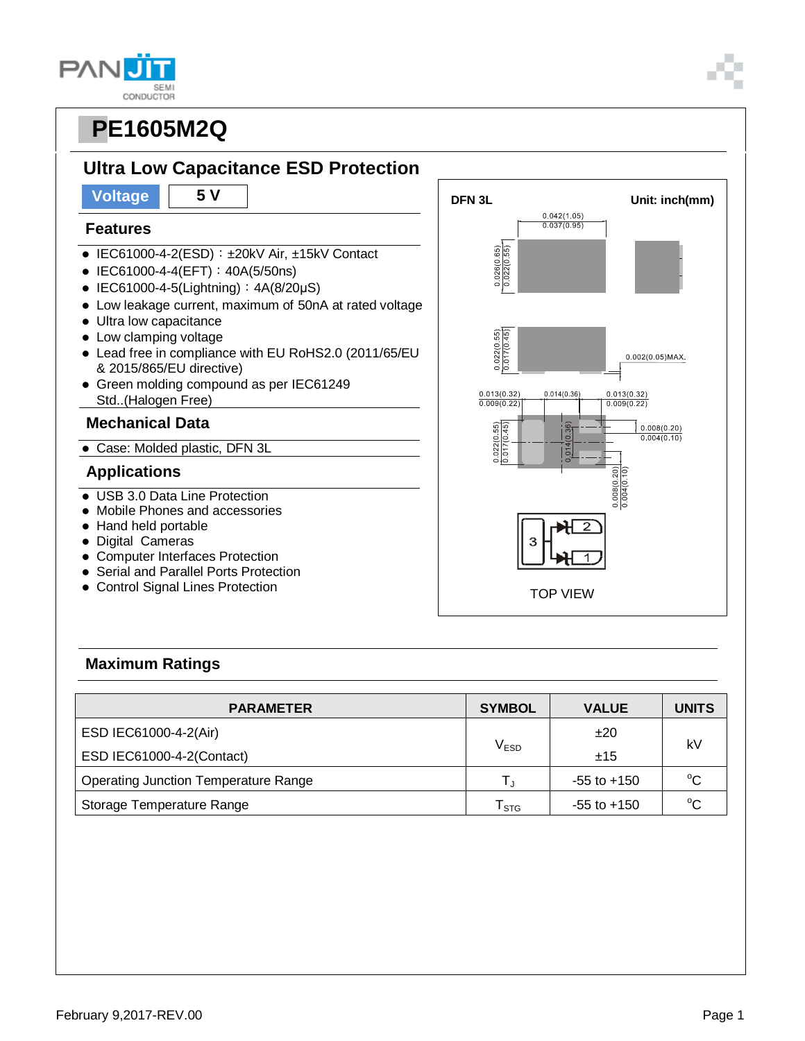#### **PAN SEM** CONDUCTOR

### **PE1605M2Q**



# **Ultra Low Capacitance ESD Protection**

### **Features**

- $\bullet$  IEC61000-4-2(ESD):  $\pm$ 20kV Air,  $\pm$ 15kV Contact
- IEC61000-4-4(EFT): 40A(5/50ns)
- $\bullet$  IEC61000-4-5(Lightning):  $4A(8/20\mu S)$
- Low leakage current, maximum of 50nA at rated voltage
- Ultra low capacitance
- Low clamping voltage
- Lead free in compliance with EU RoHS2.0 (2011/65/EU & 2015/865/EU directive)
- Green molding compound as per IEC61249 Std..(Halogen Free)

### **Mechanical Data**

Case: Molded plastic, DFN 3L

### **Applications**

- USB 3.0 Data Line Protection
- Mobile Phones and accessories
- Hand held portable
- Digital Cameras
- Computer Interfaces Protection
- Serial and Parallel Ports Protection
- Control Signal Lines Protection



### **Maximum Ratings**

| <b>PARAMETER</b>                            | <b>SYMBOL</b>    | <b>VALUE</b>    | <b>UNITS</b> |  |
|---------------------------------------------|------------------|-----------------|--------------|--|
| ESD IEC61000-4-2(Air)                       |                  | ±20             | kV           |  |
| ESD IEC61000-4-2(Contact)                   | V <sub>ESD</sub> | ±15             |              |  |
| <b>Operating Junction Temperature Range</b> |                  | $-55$ to $+150$ | $^{\circ}C$  |  |
| Storage Temperature Range                   | l stg            | $-55$ to $+150$ | $^{\circ}C$  |  |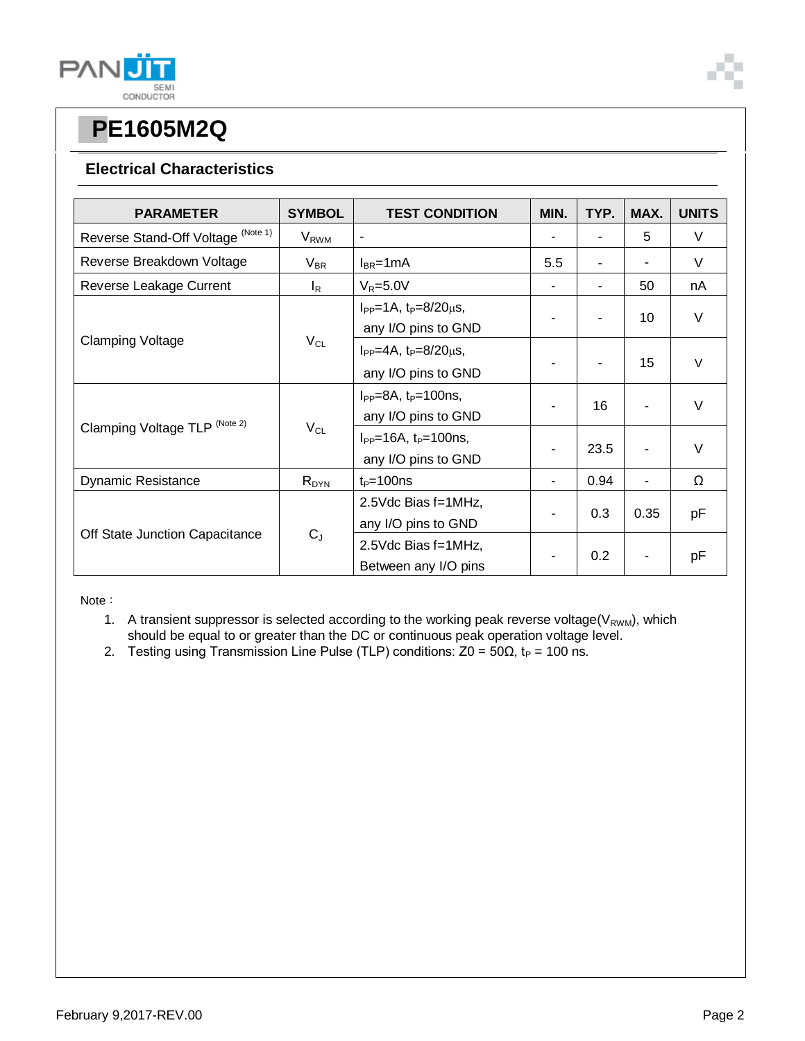

### **Electrical Characteristics**

| <b>PARAMETER</b>                   | <b>SYMBOL</b>           | <b>TEST CONDITION</b>                                       | MIN.                     | TYP. | MAX. | <b>UNITS</b> |
|------------------------------------|-------------------------|-------------------------------------------------------------|--------------------------|------|------|--------------|
| Reverse Stand-Off Voltage (Note 1) | <b>V</b> <sub>RWM</sub> | -                                                           |                          |      | 5    | V            |
| Reverse Breakdown Voltage          | $V_{BR}$                | $I_{BR}$ =1mA                                               | 5.5                      |      | ۰    | V            |
| Reverse Leakage Current            | $I_R$                   | $V_R = 5.0V$                                                |                          |      | 50   | nA           |
| <b>Clamping Voltage</b>            | $V_{CL}$                | $I_{PP} = 1A$ , $t_P = 8/20 \mu s$ ,<br>any I/O pins to GND |                          |      | 10   | $\vee$       |
|                                    |                         | $I_{PP} = 4A$ , $t_P = 8/20 \mu s$ ,<br>any I/O pins to GND |                          |      | 15   | $\vee$       |
| Clamping Voltage TLP (Note 2)      | $V_{CL}$                | $I_{PP} = 8A$ , $t_P = 100$ ns,<br>any I/O pins to GND      |                          | 16   |      | V            |
|                                    |                         | $I_{PP} = 16A$ , $t_P = 100$ ns,<br>any I/O pins to GND     |                          | 23.5 |      | $\vee$       |
| <b>Dynamic Resistance</b>          | $R_{DYN}$               | $t_P = 100$ ns                                              | $\overline{\phantom{a}}$ | 0.94 | ٠    | Ω            |
| Off State Junction Capacitance     | $C_J$                   | 2.5Vdc Bias f=1MHz,<br>any I/O pins to GND                  |                          | 0.3  | 0.35 | pF           |
|                                    |                         | 2.5Vdc Bias f=1MHz,<br>Between any I/O pins                 |                          | 0.2  |      | pF           |

Note:

- 1. A transient suppressor is selected according to the working peak reverse voltage( $V_{RWM}$ ), which should be equal to or greater than the DC or continuous peak operation voltage level.
- 2. Testing using Transmission Line Pulse (TLP) conditions:  $Z0 = 50Ω$ , t<sub>P</sub> = 100 ns.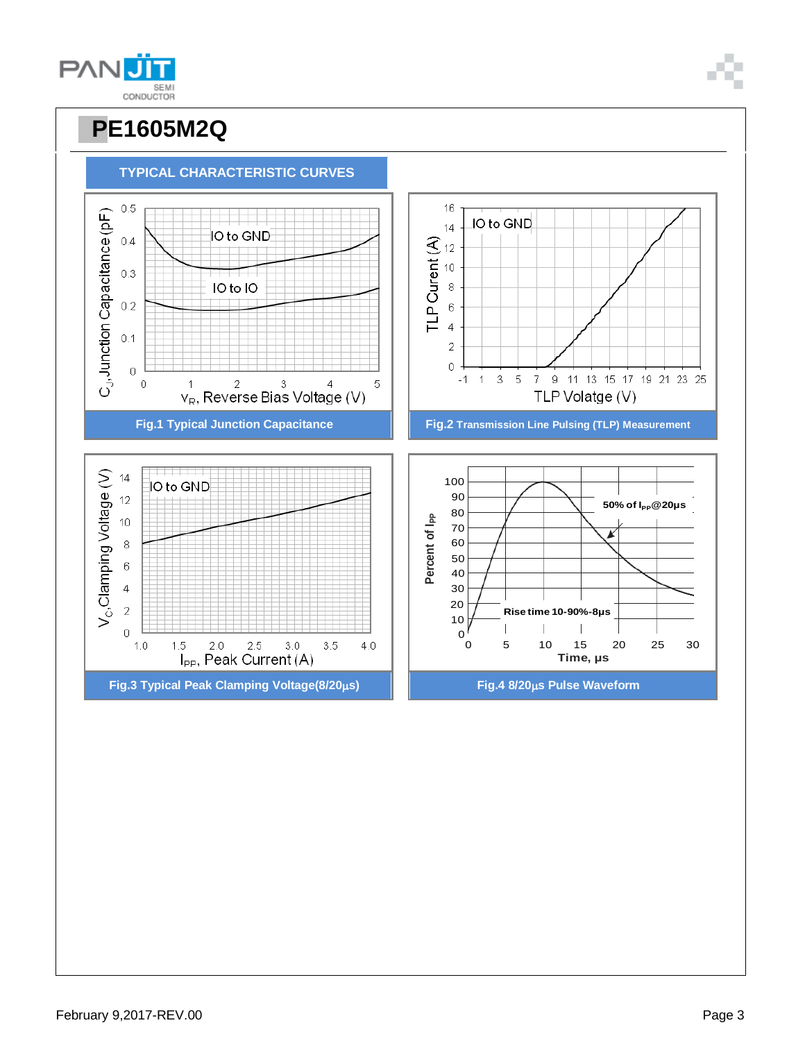





**TYPICAL CHARACTERISTIC CURVES**

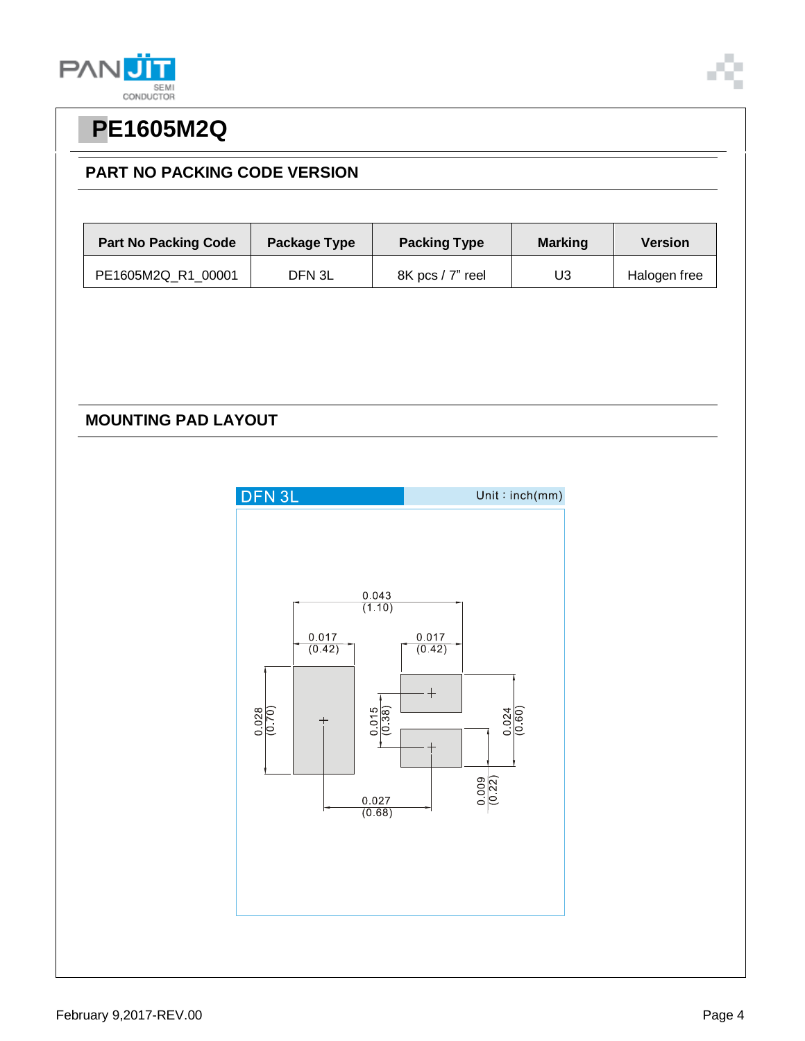



### **PART NO PACKING CODE VERSION**

| <b>Part No Packing Code</b> | Package Type | <b>Packing Type</b> | <b>Marking</b> | <b>Version</b> |
|-----------------------------|--------------|---------------------|----------------|----------------|
| PE1605M2Q R1 00001          | DFN 3L       | 8K pcs / 7" reel    | U3             | Halogen free   |

### **MOUNTING PAD LAYOUT**